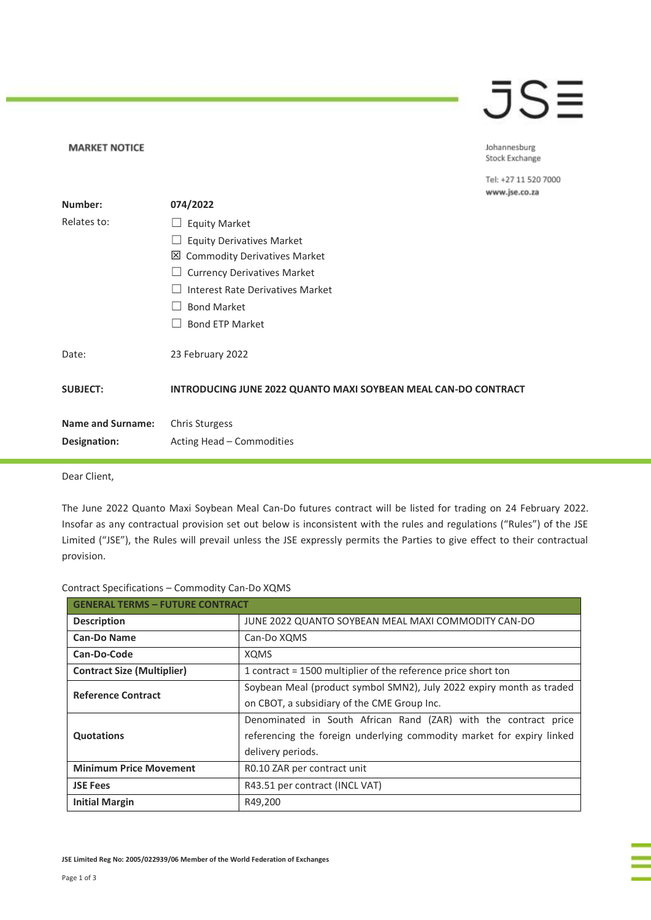## JSE

Johannesburg Stock Exchange

Tel: +27 11 520 7000 www.jse.co.za

|                          |                                                                | www.jsc.co.za |
|--------------------------|----------------------------------------------------------------|---------------|
| Number:                  | 074/2022                                                       |               |
| Relates to:              | <b>Equity Market</b>                                           |               |
|                          | <b>Equity Derivatives Market</b>                               |               |
|                          | 凶 Commodity Derivatives Market                                 |               |
|                          | <b>Currency Derivatives Market</b>                             |               |
|                          | Interest Rate Derivatives Market                               |               |
|                          | <b>Bond Market</b>                                             |               |
|                          | <b>Bond ETP Market</b>                                         |               |
| Date:                    | 23 February 2022                                               |               |
| <b>SUBJECT:</b>          | INTRODUCING JUNE 2022 QUANTO MAXI SOYBEAN MEAL CAN-DO CONTRACT |               |
| <b>Name and Surname:</b> | Chris Sturgess                                                 |               |
| Designation:             | Acting Head - Commodities                                      |               |
|                          |                                                                |               |

Dear Client,

**MARKET NOTICE** 

The June 2022 Quanto Maxi Soybean Meal Can-Do futures contract will be listed for trading on 24 February 2022. Insofar as any contractual provision set out below is inconsistent with the rules and regulations ("Rules") of the JSE Limited ("JSE"), the Rules will prevail unless the JSE expressly permits the Parties to give effect to their contractual provision.

| Contract Specifications - Commodity Can-Do XQMS |  |  |
|-------------------------------------------------|--|--|
|                                                 |  |  |

| <b>GENERAL TERMS - FUTURE CONTRACT</b> |                                                                       |  |
|----------------------------------------|-----------------------------------------------------------------------|--|
| <b>Description</b>                     | JUNE 2022 QUANTO SOYBEAN MEAL MAXI COMMODITY CAN-DO                   |  |
| <b>Can-Do Name</b>                     | Can-Do XQMS                                                           |  |
| Can-Do-Code                            | <b>XQMS</b>                                                           |  |
| <b>Contract Size (Multiplier)</b>      | 1 contract = 1500 multiplier of the reference price short ton         |  |
| <b>Reference Contract</b>              | Soybean Meal (product symbol SMN2), July 2022 expiry month as traded  |  |
|                                        | on CBOT, a subsidiary of the CME Group Inc.                           |  |
|                                        | Denominated in South African Rand (ZAR) with the contract price       |  |
| <b>Quotations</b>                      | referencing the foreign underlying commodity market for expiry linked |  |
|                                        | delivery periods.                                                     |  |
| <b>Minimum Price Movement</b>          | RO.10 ZAR per contract unit                                           |  |
| <b>JSE Fees</b>                        | R43.51 per contract (INCL VAT)                                        |  |
| <b>Initial Margin</b>                  | R49,200                                                               |  |

**JSE Limited Reg No: 2005/022939/06 Member of the World Federation of Exchanges**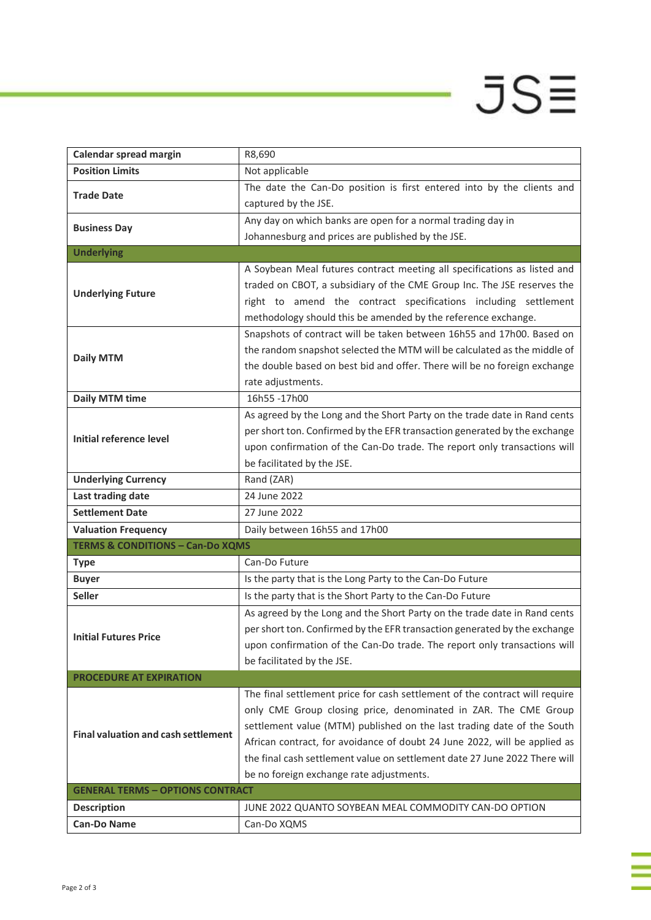## $JSE$

ī

| Calendar spread margin                      | R8,690                                                                      |  |
|---------------------------------------------|-----------------------------------------------------------------------------|--|
| <b>Position Limits</b>                      | Not applicable                                                              |  |
|                                             | The date the Can-Do position is first entered into by the clients and       |  |
| <b>Trade Date</b>                           | captured by the JSE.                                                        |  |
|                                             | Any day on which banks are open for a normal trading day in                 |  |
| <b>Business Day</b>                         | Johannesburg and prices are published by the JSE.                           |  |
| <b>Underlying</b>                           |                                                                             |  |
|                                             | A Soybean Meal futures contract meeting all specifications as listed and    |  |
| <b>Underlying Future</b>                    | traded on CBOT, a subsidiary of the CME Group Inc. The JSE reserves the     |  |
|                                             | right to amend the contract specifications including settlement             |  |
|                                             | methodology should this be amended by the reference exchange.               |  |
|                                             | Snapshots of contract will be taken between 16h55 and 17h00. Based on       |  |
| <b>Daily MTM</b>                            | the random snapshot selected the MTM will be calculated as the middle of    |  |
|                                             | the double based on best bid and offer. There will be no foreign exchange   |  |
|                                             | rate adjustments.                                                           |  |
| <b>Daily MTM time</b>                       | 16h55-17h00                                                                 |  |
|                                             | As agreed by the Long and the Short Party on the trade date in Rand cents   |  |
| Initial reference level                     | per short ton. Confirmed by the EFR transaction generated by the exchange   |  |
|                                             | upon confirmation of the Can-Do trade. The report only transactions will    |  |
|                                             | be facilitated by the JSE.                                                  |  |
| <b>Underlying Currency</b>                  | Rand (ZAR)                                                                  |  |
| Last trading date                           | 24 June 2022                                                                |  |
| <b>Settlement Date</b>                      | 27 June 2022                                                                |  |
| <b>Valuation Frequency</b>                  | Daily between 16h55 and 17h00                                               |  |
| <b>TERMS &amp; CONDITIONS - Can-Do XQMS</b> |                                                                             |  |
| <b>Type</b>                                 | Can-Do Future                                                               |  |
| <b>Buyer</b>                                | Is the party that is the Long Party to the Can-Do Future                    |  |
| <b>Seller</b>                               | Is the party that is the Short Party to the Can-Do Future                   |  |
|                                             | As agreed by the Long and the Short Party on the trade date in Rand cents   |  |
| <b>Initial Futures Price</b>                | per short ton. Confirmed by the EFR transaction generated by the exchange   |  |
|                                             | upon confirmation of the Can-Do trade. The report only transactions will    |  |
|                                             | be facilitated by the JSE.                                                  |  |
| <b>PROCEDURE AT EXPIRATION</b>              |                                                                             |  |
|                                             | The final settlement price for cash settlement of the contract will require |  |
|                                             | only CME Group closing price, denominated in ZAR. The CME Group             |  |
| <b>Final valuation and cash settlement</b>  | settlement value (MTM) published on the last trading date of the South      |  |
|                                             | African contract, for avoidance of doubt 24 June 2022, will be applied as   |  |
|                                             | the final cash settlement value on settlement date 27 June 2022 There will  |  |
|                                             | be no foreign exchange rate adjustments.                                    |  |
| <b>GENERAL TERMS - OPTIONS CONTRACT</b>     |                                                                             |  |
| <b>Description</b>                          | JUNE 2022 QUANTO SOYBEAN MEAL COMMODITY CAN-DO OPTION                       |  |
| <b>Can-Do Name</b>                          | Can-Do XQMS                                                                 |  |